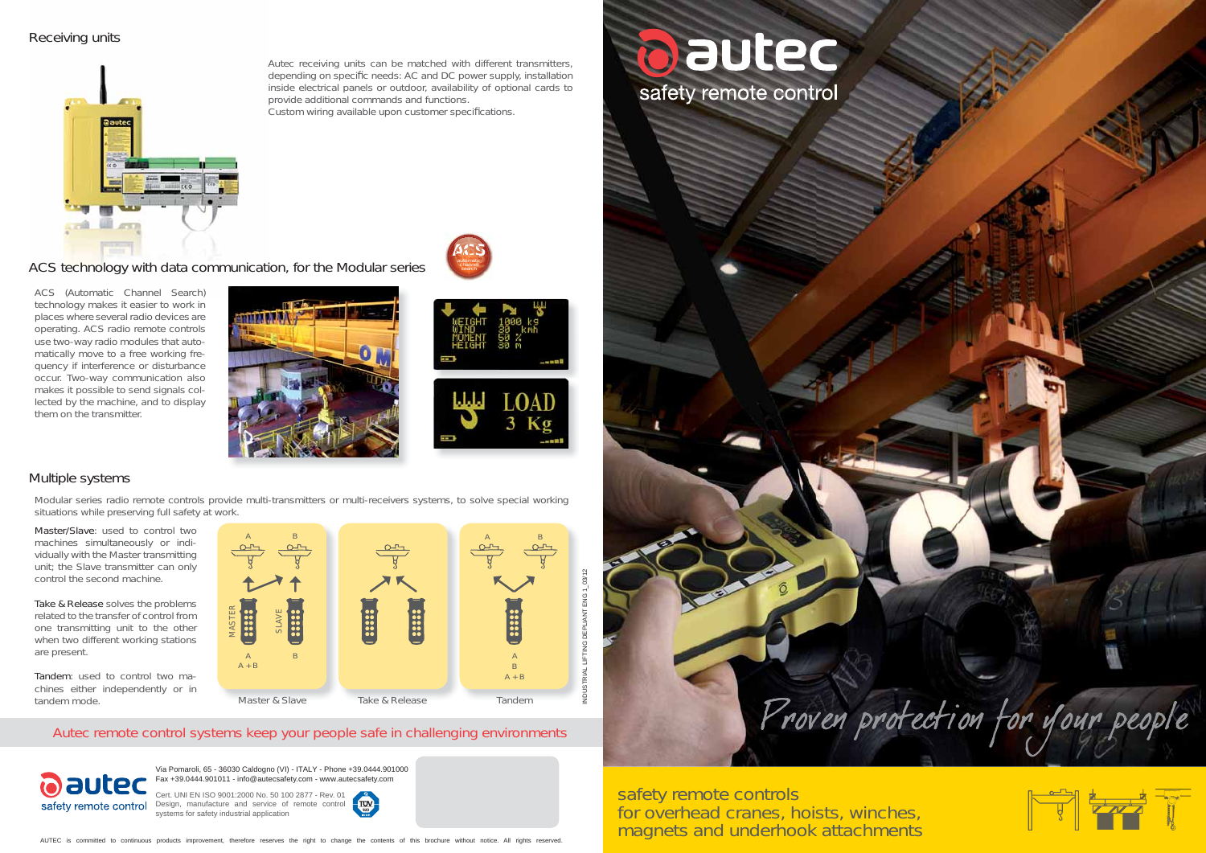

for overhead cranes, hoists, winches, magnets and underhook attachments





## Receiving units



AUTEC is committed to continuous products improvement, therefore reserves the right to change the contents of this brochure without notice. All rights reserved.



ACS (Automatic Channel Search) technology makes it easier to work in places where several radio devices are operating. ACS radio remote controls use two-way radio modules that automatically move to a free working frequency if interference or disturbance occur. Two-way communication also makes it possible to send signals collected by the machine, and to display them on the transmitter.





ACS technology with data communication, for the Modular series

## Multiple systems

Master/Slave: used to control two machines simultaneously or individually with the Master transmitting unit; the Slave transmitter can only control the second machine.

> Cert. UNI EN ISO 9001:2000 No. 50 100 2877 - Rev. 01 Design, manufacture and service of remote control systems for safety industrial application



Take & Release solves the problems related to the transfer of control from one transmitting unit to the other when two different working stations are present.

Tandem: used to control two machines either independently or in tandem mode.



Modular series radio remote controls provide multi-transmitters or multi-receivers systems, to solve special working situations while preserving full safety at work.

**ACS**autom<br>Chani **AAC** $\text{C}_\text{domatic}$ **CS**automatic<br>channel channel search

Autec receiving units can be matched with different transmitters, depending on specific needs: AC and DC power supply, installation inside electrical panels or outdoor, availability of optional cards to provide additional commands and functions.

Custom wiring available upon customer specifications.

Via Pomaroli, 65 - 36030 Caldogno (VI) - ITALY - Phone +39.0444.901000 Fax +39.0444.901011 - info@autecsafety.com - www.autecsafety.com

## Autec remote control systems keep your people safe in challenging environments